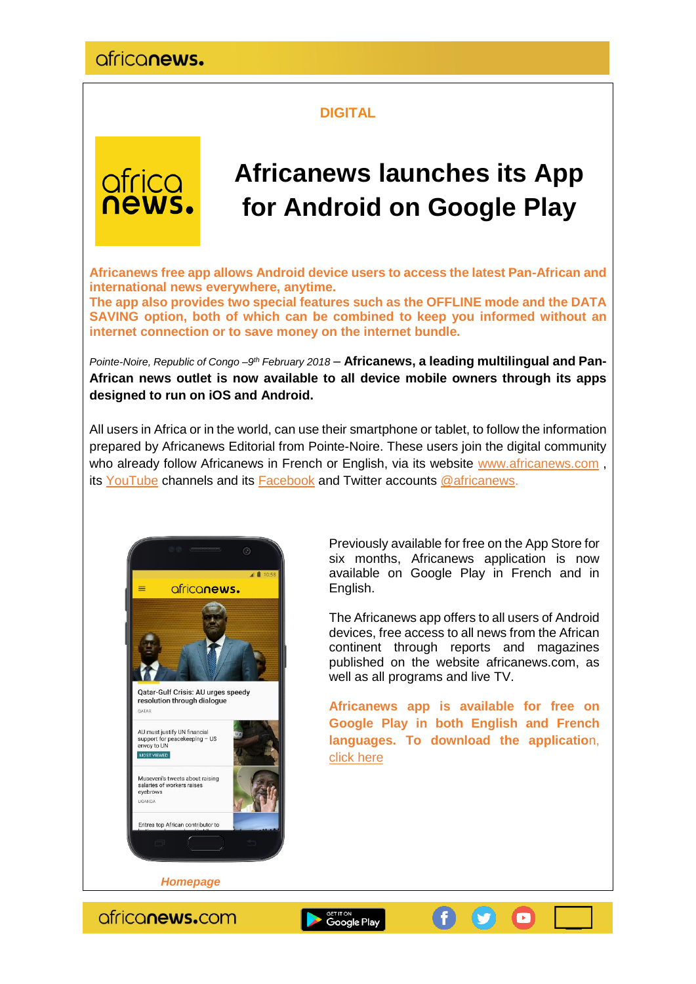### **DIGITAL**



# **Africanews launches its App for Android on Google Play**

**Africanews free app allows Android device users to access the latest Pan-African and international news everywhere, anytime.** 

**The app also provides two special features such as the OFFLINE mode and the DATA SAVING option, both of which can be combined to keep you informed without an internet connection or to save money on the internet bundle.**

Pointe-Noire, Republic of Congo -9<sup>th</sup> February 2018 - Africanews, a leading multilingual and Pan-**African news outlet is now available to all device mobile owners through its apps designed to run on iOS and Android.**

All users in Africa or in the world, can use their smartphone or tablet, to follow the information prepared by Africanews Editorial from Pointe-Noire. These users join the digital community who already follow Africanews in French or English, via its website [www.africanews.com](http://www.africanews.com/), its [YouTube](https://www.youtube.com/channel/UC1_E8NeF5QHY2dtdLRBCCLA) channels and its [Facebook](https://www.facebook.com/africanews.channel/) and Twitter accounts [@africanews.](https://twitter.com/africanews)



Previously available for free on the App Store for six months, Africanews application is now available on Google Play in French and in English.

The Africanews app offers to all users of Android devices, free access to all news from the African continent through reports and magazines published on the website africanews.com, as well as all programs and live TV.

**Africanews app is available for free on Google Play in both English and French languages. To download the applicatio**n, [click here](https://play.google.com/store/apps/details?id=com.africanews.android&referrer=utm_source=corp&utm_medium=pressrelease&utm_campaign=)

O

 *Homepage*

ofriconews.com

Google Play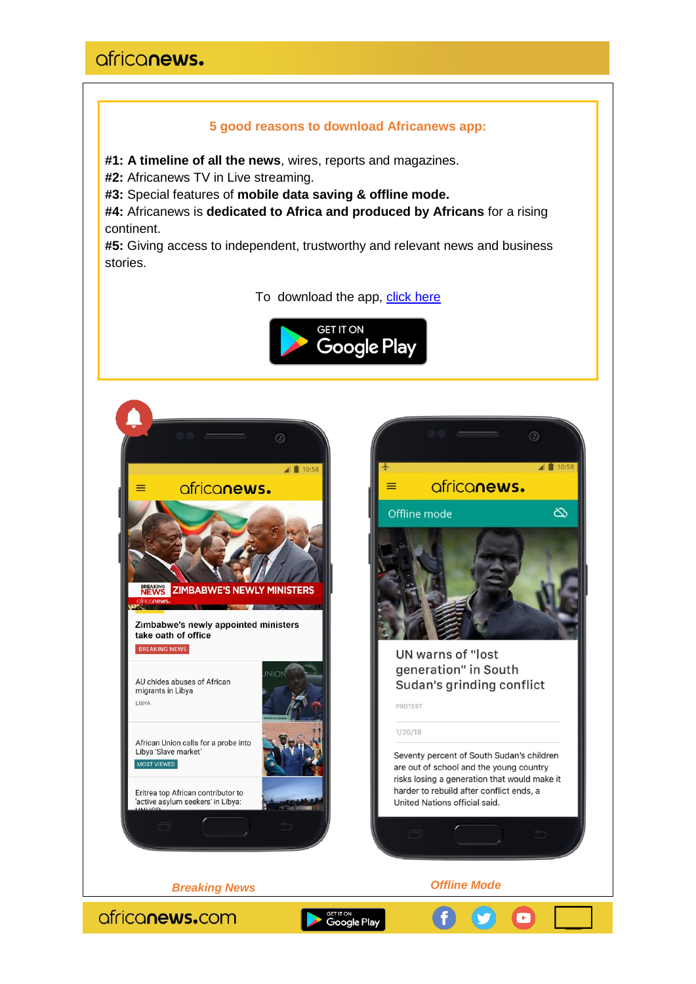## africanews.

#### **5 good reasons to download Africanews app:**

**#1: A timeline of all the news**, wires, reports and magazines.

**#2:** Africanews TV in Live streaming.

**#3:** Special features of **mobile data saving & offline mode.**

**#4:** Africanews is **dedicated to Africa and produced by Africans** for a rising continent.

**#5:** Giving access to independent, trustworthy and relevant news and business stories.

To download the app, [click here](https://play.google.com/store/apps/details?id=com.africanews.android&referrer=utm_source=corp&utm_medium=pressrelease&utm_campaign=)